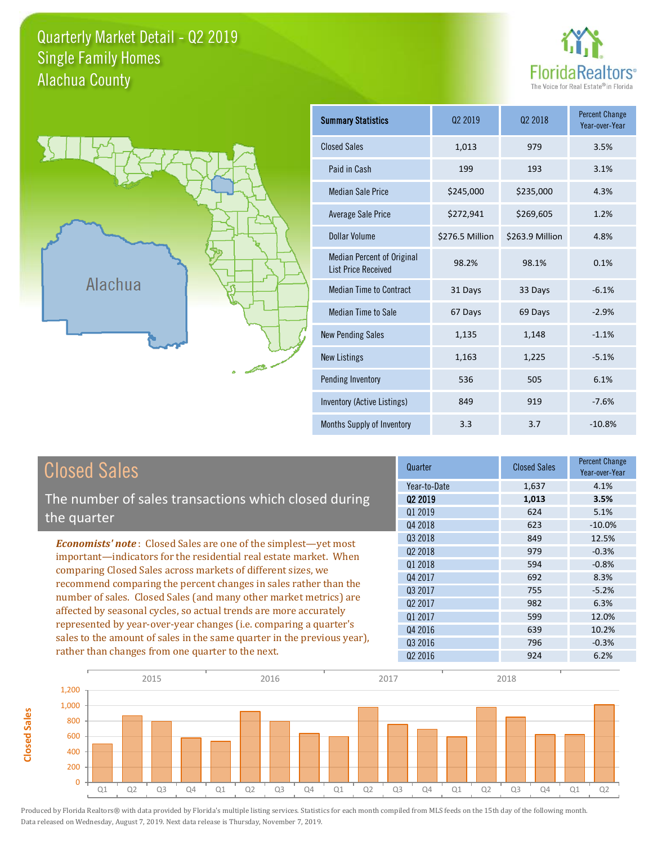### Quarterly Market Detail - Q2 2019 Alachua County Single Family Homes





**Closed Sales**

**Closed Sales** 

| <b>Summary Statistics</b>                                       | 02 2019         | 02 2018         | <b>Percent Change</b><br>Year-over-Year |
|-----------------------------------------------------------------|-----------------|-----------------|-----------------------------------------|
| <b>Closed Sales</b>                                             | 1,013           | 979             | 3.5%                                    |
| Paid in Cash                                                    | 199             | 193             | 3.1%                                    |
| <b>Median Sale Price</b>                                        | \$245,000       | \$235,000       | 4.3%                                    |
| <b>Average Sale Price</b>                                       | \$272,941       | \$269,605       | 1.2%                                    |
| Dollar Volume                                                   | \$276.5 Million | \$263.9 Million | 4.8%                                    |
| <b>Median Percent of Original</b><br><b>List Price Received</b> | 98.2%           | 98.1%           | 0.1%                                    |
| <b>Median Time to Contract</b>                                  | 31 Days         | 33 Days         | $-6.1%$                                 |
| <b>Median Time to Sale</b>                                      | 67 Days         | 69 Days         | $-2.9%$                                 |
| <b>New Pending Sales</b>                                        | 1,135           | 1,148           | $-1.1%$                                 |
| <b>New Listings</b>                                             | 1,163           | 1,225           | $-5.1%$                                 |
| Pending Inventory                                               | 536             | 505             | 6.1%                                    |
| Inventory (Active Listings)                                     | 849             | 919             | $-7.6%$                                 |
| Months Supply of Inventory                                      | 3.3             | 3.7             | $-10.8%$                                |

| <b>Closed Sales</b>                                                     | Quarter      | <b>Closed Sales</b> | <b>Percent Change</b><br>Year-over-Year |
|-------------------------------------------------------------------------|--------------|---------------------|-----------------------------------------|
|                                                                         | Year-to-Date | 1,637               | 4.1%                                    |
| The number of sales transactions which closed during                    | 02 2019      | 1,013               | 3.5%                                    |
| the quarter                                                             | Q1 2019      | 624                 | 5.1%                                    |
|                                                                         | Q4 2018      | 623                 | $-10.0\%$                               |
| <b>Economists' note:</b> Closed Sales are one of the simplest—yet most  | Q3 2018      | 849                 | 12.5%                                   |
| important—indicators for the residential real estate market. When       | 02 2018      | 979                 | $-0.3%$                                 |
| comparing Closed Sales across markets of different sizes, we            | Q1 2018      | 594                 | $-0.8%$                                 |
| recommend comparing the percent changes in sales rather than the        | Q4 2017      | 692                 | 8.3%                                    |
|                                                                         | Q3 2017      | 755                 | $-5.2%$                                 |
| number of sales. Closed Sales (and many other market metrics) are       | 02 2017      | 982                 | 6.3%                                    |
| affected by seasonal cycles, so actual trends are more accurately       | Q1 2017      | 599                 | 12.0%                                   |
| represented by year-over-year changes (i.e. comparing a quarter's       | Q4 2016      | 639                 | 10.2%                                   |
| sales to the amount of sales in the same quarter in the previous year), | 03 2016      | 796                 | $-0.3%$                                 |
| rather than changes from one quarter to the next.                       | 02 2016      | 924                 | 6.2%                                    |

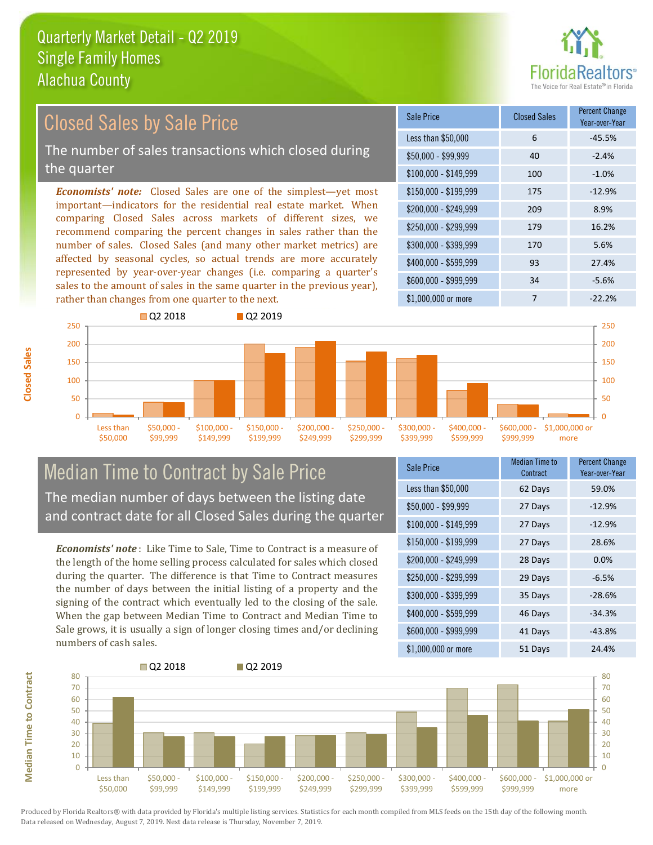

#### *Economists' note:* Closed Sales are one of the simplest—yet most important—indicators for the residential real estate market. When comparing Closed Sales across markets of different sizes, we recommend comparing the percent changes in sales rather than the number of sales. Closed Sales (and many other market metrics) are affected by seasonal cycles, so actual trends are more accurately represented by year-over-year changes (i.e. comparing a quarter's sales to the amount of sales in the same quarter in the previous year), rather than changes from one quarter to the next. \$1,000,000 or more 7 7 -22.2% \$250,000 - \$299,999 179 16.2% \$300,000 - \$399,999 170 5.6% \$400,000 - \$599,999 93 27.4% \$600,000 - \$999,999 34 -5.6% \$150,000 - \$199,999 175 -12.9% \$200,000 - \$249,999 209 8.9%  $$100,000 - $149,999$  100 -1.0% Sale Price Closed Sales Percent Change Year-over-Year Less than \$50,000 6 6 -45.5%  $$50,000 - $99,999$  40 -2.4% 250 **Q2 2018** Q2 2019 250 Closed Sales by Sale Price The number of sales transactions which closed during the quarter



### Median Time to Contract by Sale Price The median number of days between the listing date and contract date for all Closed Sales during the quarter

*Economists' note* : Like Time to Sale, Time to Contract is a measure of the length of the home selling process calculated for sales which closed during the quarter. The difference is that Time to Contract measures the number of days between the initial listing of a property and the signing of the contract which eventually led to the closing of the sale. When the gap between Median Time to Contract and Median Time to Sale grows, it is usually a sign of longer closing times and/or declining numbers of cash sales.

| Sale Price            | <b>Median Time to</b><br>Contract | <b>Percent Change</b><br>Year-over-Year |
|-----------------------|-----------------------------------|-----------------------------------------|
| Less than \$50,000    | 62 Days                           | 59.0%                                   |
| $$50,000 - $99,999$   | 27 Days                           | $-12.9%$                                |
| $$100,000 - $149,999$ | 27 Days                           | $-12.9%$                                |
| $$150,000 - $199,999$ | 27 Days                           | 28.6%                                   |
| \$200,000 - \$249,999 | 28 Days                           | 0.0%                                    |
| \$250,000 - \$299,999 | 29 Days                           | $-6.5%$                                 |
| \$300,000 - \$399,999 | 35 Days                           | $-28.6%$                                |
| \$400,000 - \$599,999 | 46 Days                           | $-34.3%$                                |
| \$600,000 - \$999,999 | 41 Days                           | $-43.8%$                                |
| \$1,000,000 or more   | 51 Days                           | 24.4%                                   |



Produced by Florida Realtors® with data provided by Florida's multiple listing services. Statistics for each month compiled from MLS feeds on the 15th day of the following month. Data released on Wednesday, August 7, 2019. Next data release is Thursday, November 7, 2019.

**Median Time to Contract**

**Median Time to Contract**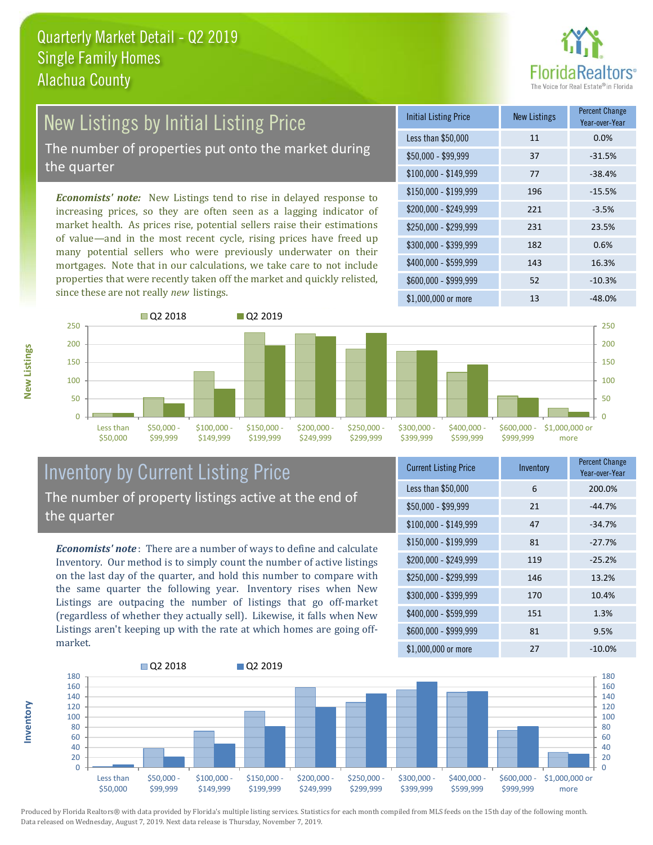

# New Listings by Initial Listing Price

The number of properties put onto the market during the quarter

*Economists' note:* New Listings tend to rise in delayed response to increasing prices, so they are often seen as a lagging indicator of market health. As prices rise, potential sellers raise their estimations of value—and in the most recent cycle, rising prices have freed up many potential sellers who were previously underwater on their mortgages. Note that in our calculations, we take care to not include properties that were recently taken off the market and quickly relisted, since these are not really *new* listings.

| <b>Initial Listing Price</b> | <b>New Listings</b> | <b>Percent Change</b><br>Year-over-Year |
|------------------------------|---------------------|-----------------------------------------|
| Less than \$50,000           | 11                  | 0.0%                                    |
| $$50,000 - $99,999$          | 37                  | $-31.5%$                                |
| $$100,000 - $149,999$        | 77                  | $-38.4%$                                |
| $$150,000 - $199,999$        | 196                 | $-15.5%$                                |
| \$200,000 - \$249,999        | 221                 | $-3.5%$                                 |
| \$250,000 - \$299,999        | 231                 | 23.5%                                   |
| \$300,000 - \$399,999        | 182                 | 0.6%                                    |
| \$400,000 - \$599,999        | 143                 | 16.3%                                   |
| \$600,000 - \$999,999        | 52                  | $-10.3%$                                |
| \$1,000,000 or more          | 13                  | $-48.0%$                                |



### Inventory by Current Listing Price The number of property listings active at the end of the quarter

*Economists' note* : There are a number of ways to define and calculate Inventory. Our method is to simply count the number of active listings on the last day of the quarter, and hold this number to compare with the same quarter the following year. Inventory rises when New Listings are outpacing the number of listings that go off-market (regardless of whether they actually sell). Likewise, it falls when New Listings aren't keeping up with the rate at which homes are going offmarket.

| <b>Current Listing Price</b> | Inventory | <b>Percent Change</b><br>Year-over-Year |
|------------------------------|-----------|-----------------------------------------|
| Less than \$50,000           | 6         | 200.0%                                  |
| $$50,000 - $99,999$          | 21        | $-44.7%$                                |
| $$100,000 - $149,999$        | 47        | $-34.7%$                                |
| $$150,000 - $199,999$        | 81        | $-27.7%$                                |
| \$200,000 - \$249,999        | 119       | $-25.2%$                                |
| \$250,000 - \$299,999        | 146       | 13.2%                                   |
| \$300,000 - \$399,999        | 170       | 10.4%                                   |
| \$400,000 - \$599,999        | 151       | 1.3%                                    |
| \$600,000 - \$999,999        | 81        | 9.5%                                    |
| \$1,000,000 or more          | 27        | $-10.0\%$                               |



Produced by Florida Realtors® with data provided by Florida's multiple listing services. Statistics for each month compiled from MLS feeds on the 15th day of the following month. Data released on Wednesday, August 7, 2019. Next data release is Thursday, November 7, 2019.

**Inventory**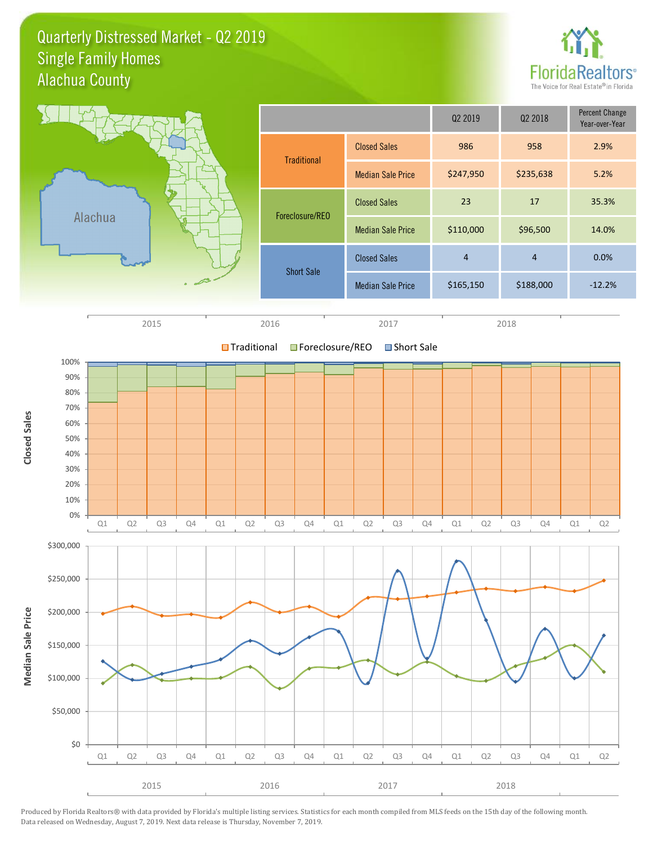Quarterly Distressed Market - Q2 2019 Alachua County Single Family Homes





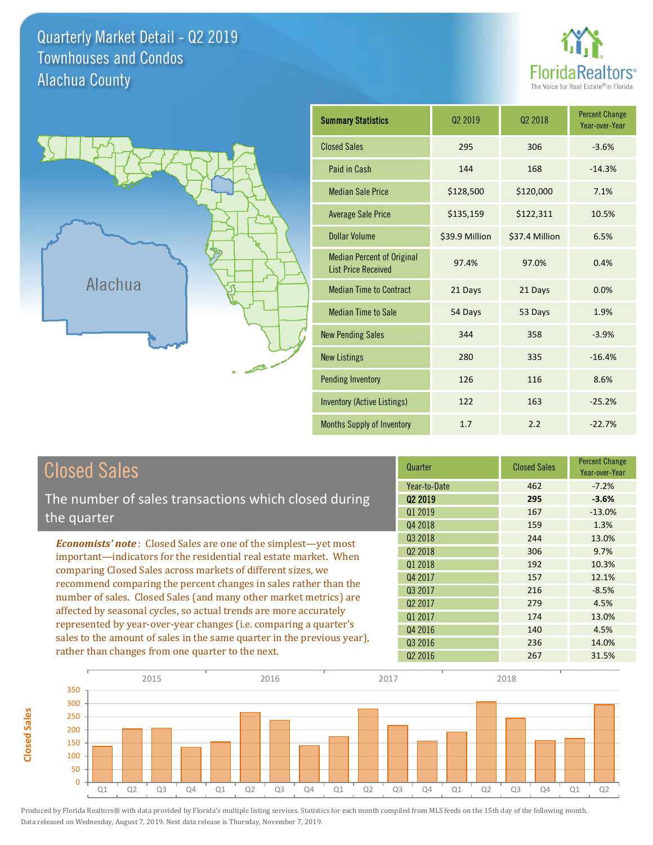Quarterly Market Detail - Q2 2019 Alachua County Townhouses and Condos





**Closed Sales**

**Closed Sales** 

| <b>Summary Statistics</b>                                       | 02 2019        | 02 2018        | <b>Percent Change</b><br>Year-over-Year |
|-----------------------------------------------------------------|----------------|----------------|-----------------------------------------|
| <b>Closed Sales</b>                                             | 295            | 306            | $-3.6%$                                 |
| Paid in Cash                                                    | 144            | 168            | $-14.3%$                                |
| <b>Median Sale Price</b>                                        | \$128,500      | \$120,000      | 7.1%                                    |
| <b>Average Sale Price</b>                                       | \$135,159      | \$122,311      | 10.5%                                   |
| Dollar Volume                                                   | \$39.9 Million | \$37.4 Million | 6.5%                                    |
| <b>Median Percent of Original</b><br><b>List Price Received</b> | 97.4%          | 97.0%          | 0.4%                                    |
| <b>Median Time to Contract</b>                                  | 21 Days        | 21 Days        | 0.0%                                    |
| <b>Median Time to Sale</b>                                      | 54 Days        | 53 Days        | 1.9%                                    |
| <b>New Pending Sales</b>                                        | 344            | 358            | $-3.9%$                                 |
| <b>New Listings</b>                                             | 280            | 335            | $-16.4%$                                |
| <b>Pending Inventory</b>                                        | 126            | 116            | 8.6%                                    |
| <b>Inventory (Active Listings)</b>                              | 122            | 163            | $-25.2%$                                |
| <b>Months Supply of Inventory</b>                               | 1.7            | 2.2            | $-22.7%$                                |

| <b>Closed Sales</b>                                                     | Quarter             | <b>Closed Sales</b> | <b>Percent Change</b><br>Year-over-Year |
|-------------------------------------------------------------------------|---------------------|---------------------|-----------------------------------------|
|                                                                         | Year-to-Date        | 462                 | $-7.2%$                                 |
| The number of sales transactions which closed during                    | 02 2019             | 295                 | $-3.6%$                                 |
| the quarter                                                             | Q1 2019             | 167                 | $-13.0%$                                |
|                                                                         | Q4 2018             | 159                 | 1.3%                                    |
| <b>Economists' note:</b> Closed Sales are one of the simplest—yet most  | Q3 2018             | 244                 | 13.0%                                   |
| important—indicators for the residential real estate market. When       | Q <sub>2</sub> 2018 | 306                 | 9.7%                                    |
| comparing Closed Sales across markets of different sizes, we            | Q1 2018             | 192                 | 10.3%                                   |
| recommend comparing the percent changes in sales rather than the        | Q4 2017             | 157                 | 12.1%                                   |
|                                                                         | Q3 2017             | 216                 | $-8.5%$                                 |
| number of sales. Closed Sales (and many other market metrics) are       | 02 2017             | 279                 | 4.5%                                    |
| affected by seasonal cycles, so actual trends are more accurately       | Q1 2017             | 174                 | 13.0%                                   |
| represented by year-over-year changes (i.e. comparing a quarter's       | Q4 2016             | 140                 | 4.5%                                    |
| sales to the amount of sales in the same quarter in the previous year), | Q3 2016             | 236                 | 14.0%                                   |
| rather than changes from one quarter to the next.                       | Q <sub>2</sub> 2016 | 267                 | 31.5%                                   |

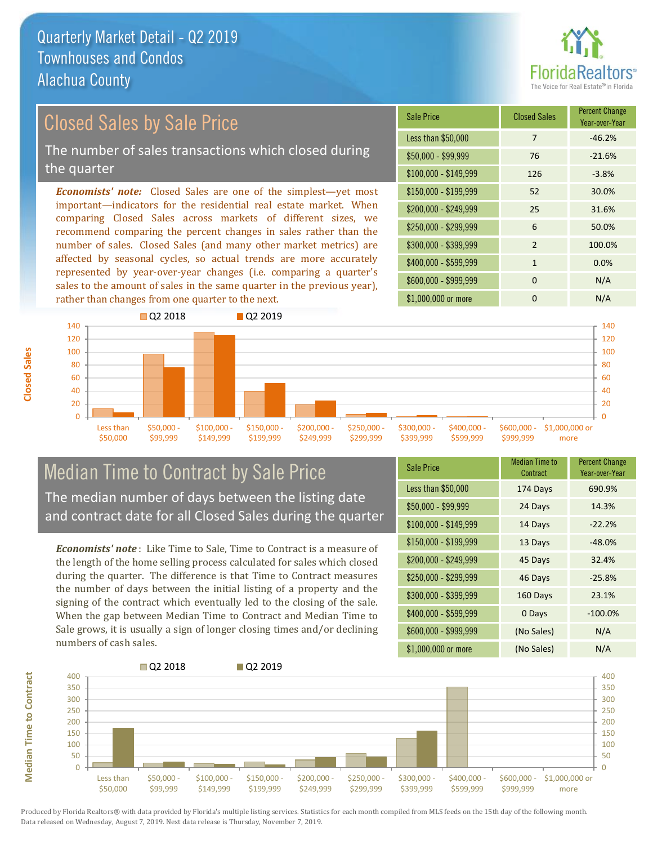

## Closed Sales by Sale Price

The number of sales transactions which closed during the quarter

*Economists' note:* Closed Sales are one of the simplest—yet most important—indicators for the residential real estate market. When comparing Closed Sales across markets of different sizes, we recommend comparing the percent changes in sales rather than the number of sales. Closed Sales (and many other market metrics) are affected by seasonal cycles, so actual trends are more accurately represented by year-over-year changes (i.e. comparing a quarter's sales to the amount of sales in the same quarter in the previous year), rather than changes from one quarter to the next.

| <b>Sale Price</b>     | <b>Closed Sales</b> | <b>Percent Change</b><br>Year-over-Year |
|-----------------------|---------------------|-----------------------------------------|
| Less than \$50,000    | 7                   | $-46.2%$                                |
| $$50,000 - $99,999$   | 76                  | $-21.6%$                                |
| $$100,000 - $149,999$ | 126                 | $-3.8%$                                 |
| $$150,000 - $199,999$ | 52                  | 30.0%                                   |
| \$200,000 - \$249,999 | 25                  | 31.6%                                   |
| \$250,000 - \$299,999 | 6                   | 50.0%                                   |
| \$300,000 - \$399,999 | $\mathfrak{p}$      | 100.0%                                  |
| \$400,000 - \$599,999 | $\mathbf{1}$        | 0.0%                                    |
| \$600,000 - \$999,999 | $\Omega$            | N/A                                     |
| \$1,000,000 or more   | O                   | N/A                                     |



#### Median Time to Contract by Sale Price The median number of days between the listing date and contract date for all Closed Sales during the quarter

*Economists' note* : Like Time to Sale, Time to Contract is a measure of the length of the home selling process calculated for sales which closed during the quarter. The difference is that Time to Contract measures the number of days between the initial listing of a property and the signing of the contract which eventually led to the closing of the sale. When the gap between Median Time to Contract and Median Time to Sale grows, it is usually a sign of longer closing times and/or declining numbers of cash sales.

| <b>Sale Price</b>     | Median Time to<br>Contract | <b>Percent Change</b><br>Year-over-Year |
|-----------------------|----------------------------|-----------------------------------------|
| Less than \$50,000    | 174 Days                   | 690.9%                                  |
| $$50,000 - $99,999$   | 24 Days                    | 14.3%                                   |
| $$100,000 - $149,999$ | 14 Days                    | $-22.2%$                                |
| $$150,000 - $199,999$ | 13 Days                    | $-48.0%$                                |
| \$200,000 - \$249,999 | 45 Days                    | 32.4%                                   |
| \$250,000 - \$299,999 | 46 Days                    | $-25.8%$                                |
| \$300,000 - \$399,999 | 160 Days                   | 23.1%                                   |
| \$400,000 - \$599,999 | 0 Days                     | $-100.0%$                               |
| \$600,000 - \$999,999 | (No Sales)                 | N/A                                     |
| \$1,000,000 or more   | (No Sales)                 | N/A                                     |

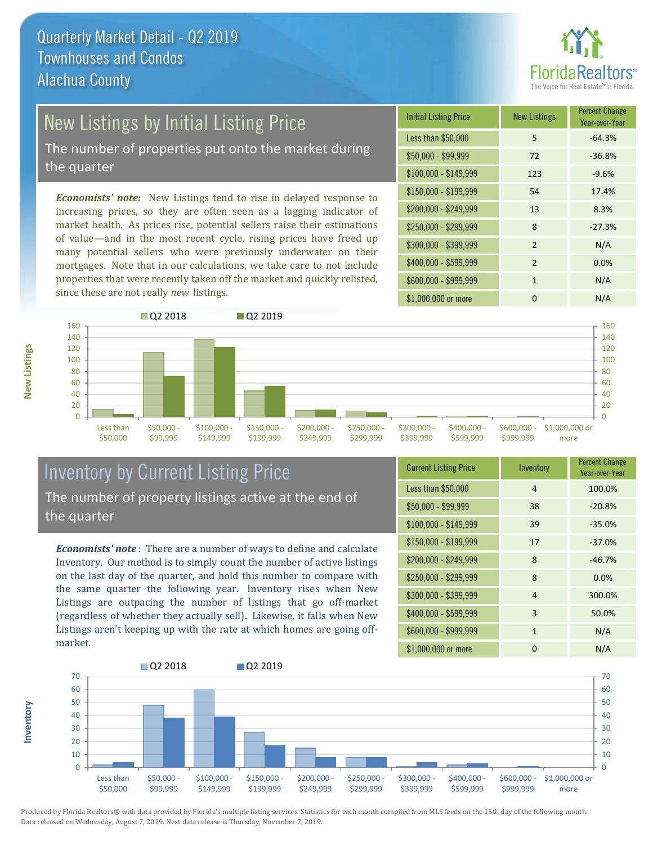

## New Listings by Initial Listing Price

The number of properties put onto the market during the quarter

*Economists' note:* New Listings tend to rise in delayed response to increasing prices, so they are often seen as a lagging indicator of market health. As prices rise, potential sellers raise their estimations of value—and in the most recent cycle, rising prices have freed up many potential sellers who were previously underwater on their mortgages. Note that in our calculations, we take care to not include properties that were recently taken off the market and quickly relisted, since these are not really *new* listings.

| <b>Initial Listing Price</b> | <b>New Listings</b> | <b>Percent Change</b><br>Year-over-Year |
|------------------------------|---------------------|-----------------------------------------|
| Less than \$50,000           | 5                   | $-64.3%$                                |
| \$50,000 - \$99,999          | 72                  | $-36.8%$                                |
| $$100,000 - $149,999$        | 123                 | $-9.6%$                                 |
| $$150,000 - $199,999$        | 54                  | 17.4%                                   |
| \$200,000 - \$249,999        | 13                  | 8.3%                                    |
| \$250,000 - \$299,999        | 8                   | $-27.3%$                                |
| \$300,000 - \$399,999        | $\mathcal{P}$       | N/A                                     |
| \$400,000 - \$599,999        | $\overline{2}$      | 0.0%                                    |
| \$600,000 - \$999,999        | 1                   | N/A                                     |
| \$1,000,000 or more          | O                   | N/A                                     |



#### Inventory by Current Listing Price The number of property listings active at the end of the quarter

*Economists' note* : There are a number of ways to define and calculate Inventory. Our method is to simply count the number of active listings on the last day of the quarter, and hold this number to compare with the same quarter the following year. Inventory rises when New Listings are outpacing the number of listings that go off-market (regardless of whether they actually sell). Likewise, it falls when New Listings aren't keeping up with the rate at which homes are going offmarket.

| <b>Current Listing Price</b> | Inventory    | <b>Percent Change</b><br>Year-over-Year |
|------------------------------|--------------|-----------------------------------------|
| Less than \$50,000           | 4            | 100.0%                                  |
| $$50,000 - $99,999$          | 38           | $-20.8%$                                |
| $$100,000 - $149,999$        | 39           | $-35.0%$                                |
| $$150,000 - $199,999$        | 17           | $-37.0%$                                |
| \$200,000 - \$249,999        | 8            | $-46.7%$                                |
| \$250,000 - \$299,999        | 8            | 0.0%                                    |
| \$300,000 - \$399,999        | 4            | 300.0%                                  |
| \$400,000 - \$599,999        | 3            | 50.0%                                   |
| \$600,000 - \$999,999        | $\mathbf{1}$ | N/A                                     |
| \$1,000,000 or more          | O            | N/A                                     |



Produced by Florida Realtors® with data provided by Florida's multiple listing services. Statistics for each month compiled from MLS feeds on the 15th day of the following month. Data released on Wednesday, August 7, 2019. Next data release is Thursday, November 7, 2019.

**Inventory**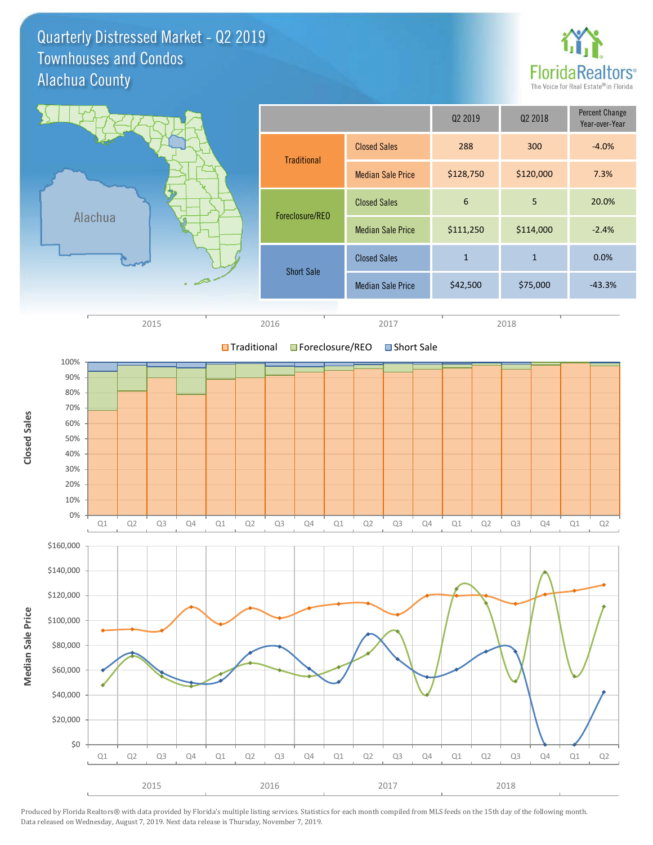Quarterly Distressed Market - Q2 2019 Alachua County Townhouses and Condos



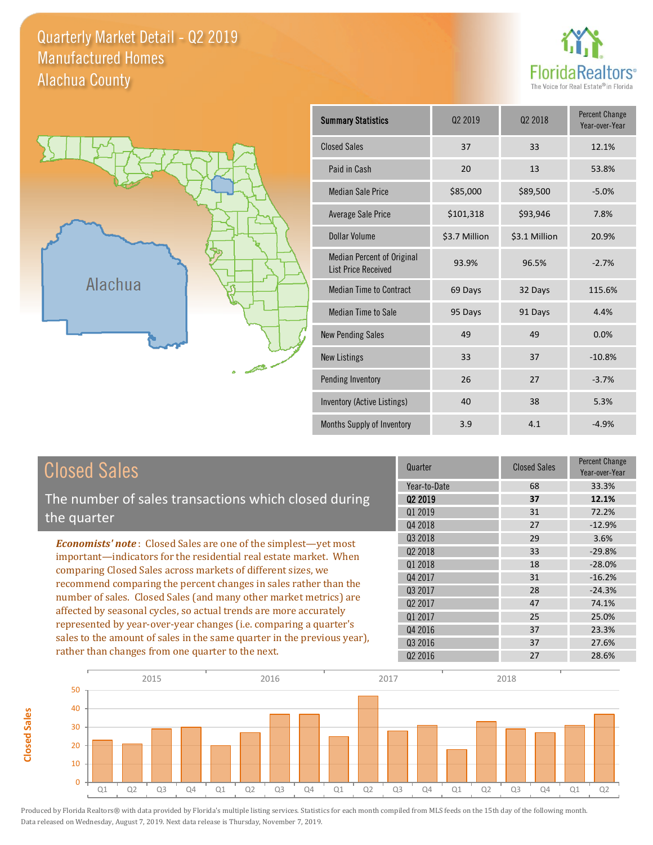#### Quarterly Market Detail - Q2 2019 Alachua County Manufactured Homes





**Closed Sales**

**Closed Sales** 

| <b>Summary Statistics</b>                                       | Q <sub>2</sub> 2019 | 02 2018       | <b>Percent Change</b><br>Year-over-Year |
|-----------------------------------------------------------------|---------------------|---------------|-----------------------------------------|
| <b>Closed Sales</b>                                             | 37                  | 33            | 12.1%                                   |
| Paid in Cash                                                    | 20                  | 13            | 53.8%                                   |
| <b>Median Sale Price</b>                                        | \$85,000            | \$89,500      | $-5.0%$                                 |
| <b>Average Sale Price</b>                                       | \$101,318           | \$93,946      | 7.8%                                    |
| Dollar Volume                                                   | \$3.7 Million       | \$3.1 Million | 20.9%                                   |
| <b>Median Percent of Original</b><br><b>List Price Received</b> | 93.9%               | 96.5%         | $-2.7%$                                 |
| <b>Median Time to Contract</b>                                  | 69 Days             | 32 Days       | 115.6%                                  |
| <b>Median Time to Sale</b>                                      | 95 Days             | 91 Days       | 4.4%                                    |
| <b>New Pending Sales</b>                                        | 49                  | 49            | 0.0%                                    |
| <b>New Listings</b>                                             | 33                  | 37            | $-10.8%$                                |
| Pending Inventory                                               | 26                  | 27            | $-3.7%$                                 |
| Inventory (Active Listings)                                     | 40                  | 38            | 5.3%                                    |
| Months Supply of Inventory                                      | 3.9                 | 4.1           | $-4.9%$                                 |

| <b>Closed Sales</b>                                                                                                                                                                                                                                                        | Quarter             | <b>Closed Sales</b> | <b>Percent Change</b><br>Year-over-Year |
|----------------------------------------------------------------------------------------------------------------------------------------------------------------------------------------------------------------------------------------------------------------------------|---------------------|---------------------|-----------------------------------------|
|                                                                                                                                                                                                                                                                            | Year-to-Date        | 68                  | 33.3%                                   |
| The number of sales transactions which closed during                                                                                                                                                                                                                       | 02 2019             | 37                  | 12.1%                                   |
| the quarter                                                                                                                                                                                                                                                                | 01 2019             | 31                  | 72.2%                                   |
|                                                                                                                                                                                                                                                                            | Q4 2018             | 27                  | $-12.9%$                                |
| <b>Economists' note:</b> Closed Sales are one of the simplest—yet most                                                                                                                                                                                                     | Q3 2018             | 29                  | 3.6%                                    |
| important—indicators for the residential real estate market. When                                                                                                                                                                                                          | Q <sub>2</sub> 2018 | 33                  | $-29.8%$                                |
| comparing Closed Sales across markets of different sizes, we<br>recommend comparing the percent changes in sales rather than the<br>number of sales. Closed Sales (and many other market metrics) are<br>affected by seasonal cycles, so actual trends are more accurately | Q1 2018             | 18                  | $-28.0%$                                |
|                                                                                                                                                                                                                                                                            | Q4 2017             | 31                  | $-16.2%$                                |
|                                                                                                                                                                                                                                                                            | Q3 2017             | 28                  | $-24.3%$                                |
|                                                                                                                                                                                                                                                                            | 02 2017             | 47                  | 74.1%                                   |
|                                                                                                                                                                                                                                                                            | Q1 2017             | 25                  | 25.0%                                   |
| represented by year-over-year changes (i.e. comparing a quarter's                                                                                                                                                                                                          | Q4 2016             | 37                  | 23.3%                                   |
| sales to the amount of sales in the same quarter in the previous year),                                                                                                                                                                                                    | Q3 2016             | 37                  | 27.6%                                   |
| rather than changes from one quarter to the next.                                                                                                                                                                                                                          | Q <sub>2</sub> 2016 | 27                  | 28.6%                                   |

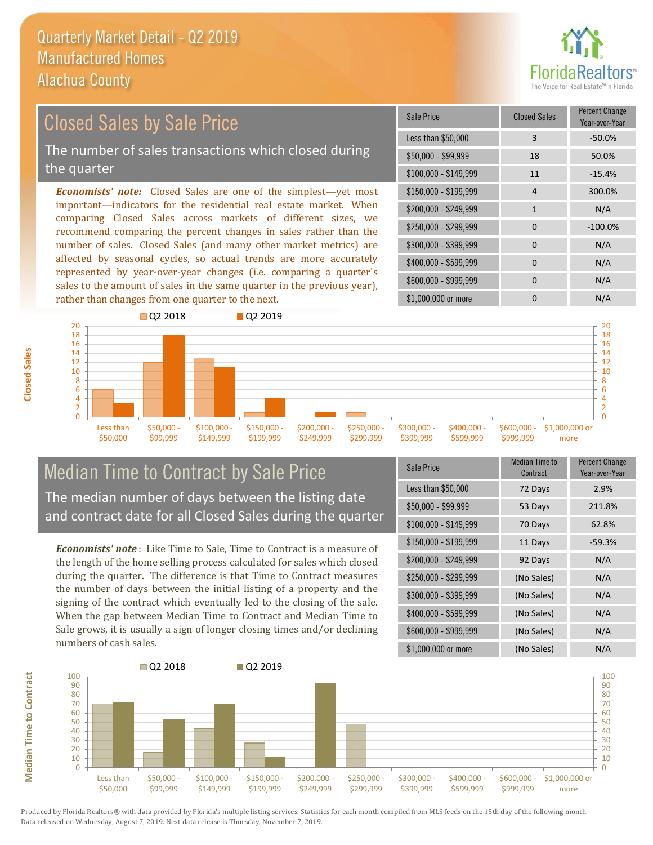

#### *Economists' note:* Closed Sales are one of the simplest—yet most important—indicators for the residential real estate market. When comparing Closed Sales across markets of different sizes, we recommend comparing the percent changes in sales rather than the number of sales. Closed Sales (and many other market metrics) are \$250,000 - \$299,999 0 -100.0% \$300,000 - \$399,999 0 0 N/A \$150,000 - \$199,999 4 300.0%  $$200.000 - $249.999$  1 N/A  $$100,000 - $149,999$  11  $-15.4\%$ Sale Price Closed Sales Percent Change Year-over-Year Less than \$50,000 3 3 -50.0% \$50,000 - \$99,999 18 50.0% Closed Sales by Sale Price The number of sales transactions which closed during the quarter

affected by seasonal cycles, so actual trends are more accurately represented by year-over-year changes (i.e. comparing a quarter's sales to the amount of sales in the same quarter in the previous year), rather than changes from one quarter to the next.



#### Median Time to Contract by Sale Price The median number of days between the listing date and contract date for all Closed Sales during the quarter

*Economists' note* : Like Time to Sale, Time to Contract is a measure of the length of the home selling process calculated for sales which closed during the quarter. The difference is that Time to Contract measures the number of days between the initial listing of a property and the signing of the contract which eventually led to the closing of the sale. When the gap between Median Time to Contract and Median Time to Sale grows, it is usually a sign of longer closing times and/or declining numbers of cash sales.

| <b>Sale Price</b>     | Median Time to<br>Contract | <b>Percent Change</b><br>Year-over-Year |
|-----------------------|----------------------------|-----------------------------------------|
| Less than \$50,000    | 72 Days                    | 2.9%                                    |
| $$50,000 - $99,999$   | 53 Days                    | 211.8%                                  |
| $$100,000 - $149,999$ | 70 Days                    | 62.8%                                   |
| $$150,000 - $199,999$ | 11 Days                    | $-59.3%$                                |
| \$200,000 - \$249,999 | 92 Days                    | N/A                                     |
| \$250,000 - \$299,999 | (No Sales)                 | N/A                                     |
| \$300,000 - \$399,999 | (No Sales)                 | N/A                                     |
| \$400,000 - \$599,999 | (No Sales)                 | N/A                                     |
| \$600,000 - \$999,999 | (No Sales)                 | N/A                                     |
| \$1,000,000 or more   | (No Sales)                 | N/A                                     |

\$1,000,000 or more 0 0 N/A

 $$400,000 - $599,999$  0 N/A \$600,000 - \$999,999 0 0 N/A



Produced by Florida Realtors® with data provided by Florida's multiple listing services. Statistics for each month compiled from MLS feeds on the 15th day of the following month. Data released on Wednesday, August 7, 2019. Next data release is Thursday, November 7, 2019.

**Median Time to Contract**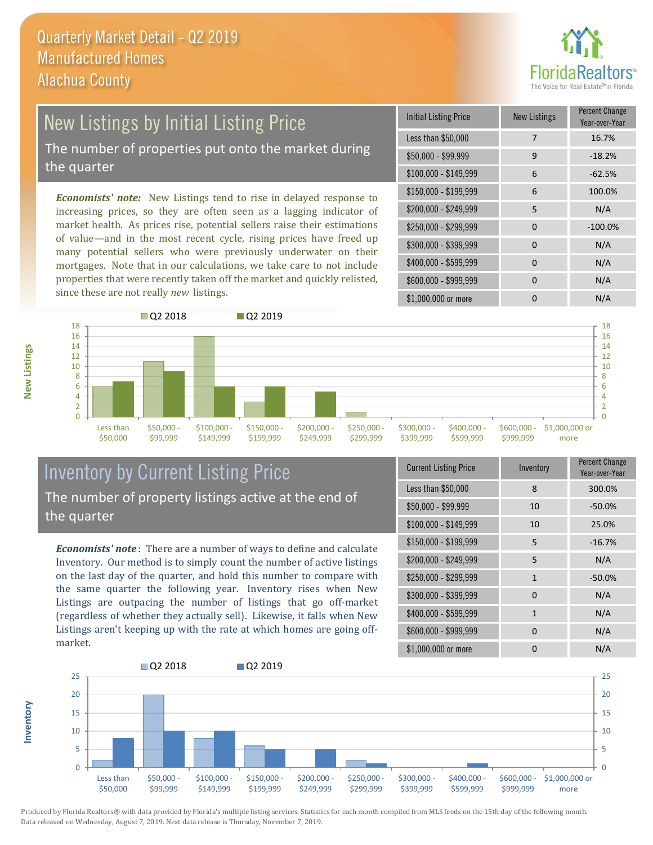

# New Listings by Initial Listing Price

The number of properties put onto the market during the quarter

*Economists' note:* New Listings tend to rise in delayed response to increasing prices, so they are often seen as a lagging indicator of market health. As prices rise, potential sellers raise their estimations of value—and in the most recent cycle, rising prices have freed up many potential sellers who were previously underwater on their mortgages. Note that in our calculations, we take care to not include properties that were recently taken off the market and quickly relisted, since these are not really *new* listings.

| <b>Initial Listing Price</b> | <b>New Listings</b> | <b>Percent Change</b><br>Year-over-Year |
|------------------------------|---------------------|-----------------------------------------|
| Less than \$50,000           | 7                   | 16.7%                                   |
| $$50,000 - $99,999$          | 9                   | $-18.2%$                                |
| $$100,000 - $149,999$        | 6                   | $-62.5%$                                |
| \$150,000 - \$199,999        | 6                   | 100.0%                                  |
| \$200,000 - \$249,999        | 5                   | N/A                                     |
| \$250,000 - \$299,999        | $\Omega$            | $-100.0%$                               |
| \$300,000 - \$399,999        | $\Omega$            | N/A                                     |
| \$400,000 - \$599,999        | $\Omega$            | N/A                                     |
| \$600,000 - \$999,999        | 0                   | N/A                                     |
| \$1,000,000 or more          |                     | N/A                                     |



#### Inventory by Current Listing Price The number of property listings active at the end of the quarter

*Economists' note* : There are a number of ways to define and calculate Inventory. Our method is to simply count the number of active listings on the last day of the quarter, and hold this number to compare with the same quarter the following year. Inventory rises when New Listings are outpacing the number of listings that go off-market (regardless of whether they actually sell). Likewise, it falls when New Listings aren't keeping up with the rate at which homes are going offmarket.

| <b>Current Listing Price</b> | Inventory    | Percent Change<br>Year-over-Year |
|------------------------------|--------------|----------------------------------|
| Less than \$50,000           | 8            | 300.0%                           |
| $$50,000 - $99,999$          | 10           | $-50.0%$                         |
| $$100,000 - $149,999$        | 10           | 25.0%                            |
| $$150,000 - $199,999$        | 5            | $-16.7%$                         |
| \$200,000 - \$249,999        | 5            | N/A                              |
| \$250,000 - \$299,999        | $\mathbf{1}$ | $-50.0%$                         |
| \$300,000 - \$399,999        | $\Omega$     | N/A                              |
| \$400,000 - \$599,999        | $\mathbf{1}$ | N/A                              |
| \$600,000 - \$999,999        | $\Omega$     | N/A                              |
| \$1,000,000 or more          | O            | N/A                              |



**New Listings**